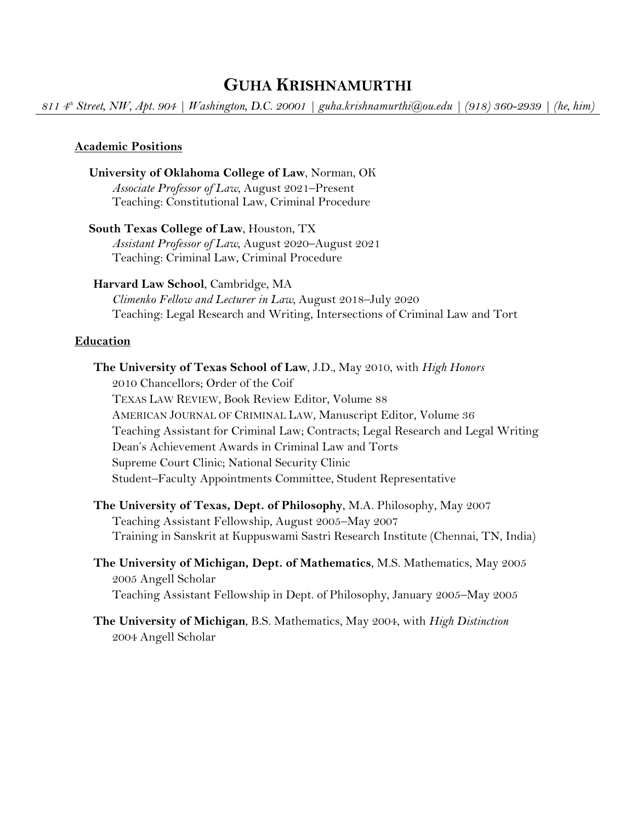# **GUHA KRISHNAMURTHI**

*811 4th Street, NW, Apt. 904 | Washington, D.C. 20001 | guha.krishnamurthi@ou.edu | (918) 360-2939 | (he, him)* 

### **Academic Positions**

# **University of Oklahoma College of Law**, Norman, OK

*Associate Professor of Law*, August 2021–Present Teaching: Constitutional Law, Criminal Procedure

### **South Texas College of Law**, Houston, TX

*Assistant Professor of Law*, August 2020–August 2021 Teaching: Criminal Law, Criminal Procedure

### **Harvard Law School**, Cambridge, MA

*Climenko Fellow and Lecturer in Law*, August 2018–July 2020 Teaching: Legal Research and Writing, Intersections of Criminal Law and Tort

### **Education**

**The University of Texas School of Law**, J.D., May 2010, with *High Honors* 2010 Chancellors; Order of the Coif TEXAS LAW REVIEW, Book Review Editor, Volume 88 AMERICAN JOURNAL OF CRIMINAL LAW, Manuscript Editor, Volume 36 Teaching Assistant for Criminal Law; Contracts; Legal Research and Legal Writing Dean's Achievement Awards in Criminal Law and Torts Supreme Court Clinic; National Security Clinic Student–Faculty Appointments Committee, Student Representative **The University of Texas, Dept. of Philosophy**, M.A. Philosophy, May 2007 Teaching Assistant Fellowship, August 2005–May 2007 Training in Sanskrit at Kuppuswami Sastri Research Institute (Chennai, TN, India)

**The University of Michigan, Dept. of Mathematics**, M.S. Mathematics, May 2005 2005 Angell Scholar

Teaching Assistant Fellowship in Dept. of Philosophy, January 2005–May 2005

## **The University of Michigan**, B.S. Mathematics, May 2004, with *High Distinction* 2004 Angell Scholar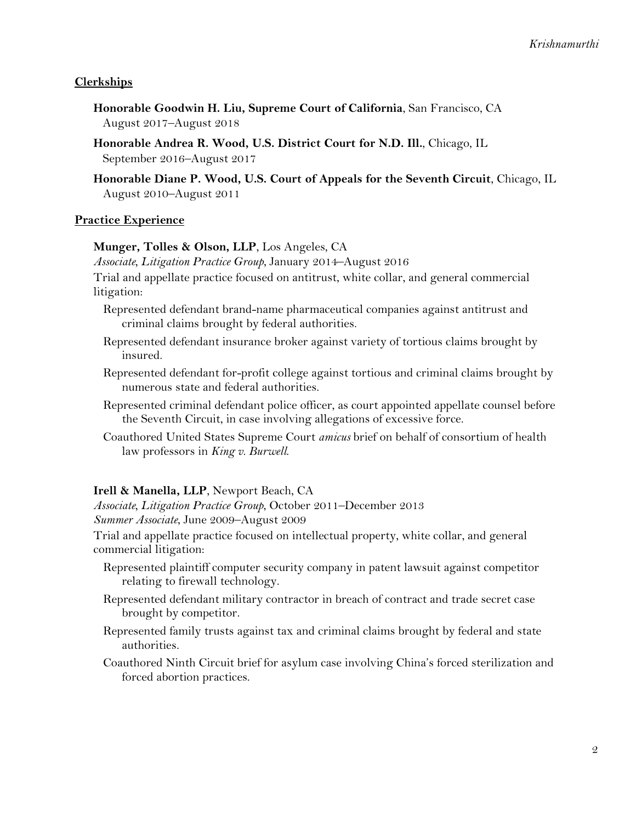## **Clerkships**

- **Honorable Goodwin H. Liu, Supreme Court of California**, San Francisco, CA August 2017–August 2018
- **Honorable Andrea R. Wood, U.S. District Court for N.D. Ill.**, Chicago, IL September 2016–August 2017
- **Honorable Diane P. Wood, U.S. Court of Appeals for the Seventh Circuit**, Chicago, IL August 2010–August 2011

### **Practice Experience**

### **Munger, Tolles & Olson, LLP**, Los Angeles, CA

*Associate, Litigation Practice Group*, January 2014–August 2016

Trial and appellate practice focused on antitrust, white collar, and general commercial litigation:

- Represented defendant brand-name pharmaceutical companies against antitrust and criminal claims brought by federal authorities.
- Represented defendant insurance broker against variety of tortious claims brought by insured.
- Represented defendant for-profit college against tortious and criminal claims brought by numerous state and federal authorities.
- Represented criminal defendant police officer, as court appointed appellate counsel before the Seventh Circuit, in case involving allegations of excessive force.
- Coauthored United States Supreme Court *amicus* brief on behalf of consortium of health law professors in *King v. Burwell*.

### **Irell & Manella, LLP**, Newport Beach, CA

*Associate, Litigation Practice Group*, October 2011–December 2013 *Summer Associate*, June 2009–August 2009

Trial and appellate practice focused on intellectual property, white collar, and general commercial litigation:

- Represented plaintiff computer security company in patent lawsuit against competitor relating to firewall technology.
- Represented defendant military contractor in breach of contract and trade secret case brought by competitor.
- Represented family trusts against tax and criminal claims brought by federal and state authorities.
- Coauthored Ninth Circuit brief for asylum case involving China's forced sterilization and forced abortion practices.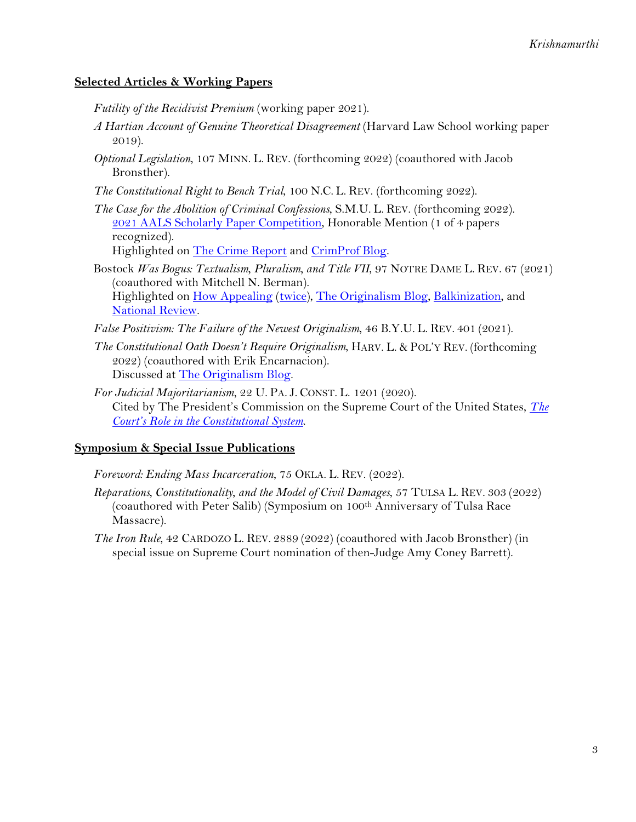## **Selected Articles & Working Papers**

*Futility of the Recidivist Premium* (working paper 2021).

- *A Hartian Account of Genuine Theoretical Disagreement* (Harvard Law School working paper 2019).
- *Optional Legislation*, 107 MINN. L. REV. (forthcoming 2022) (coauthored with Jacob Bronsther).
- *The Constitutional Right to Bench Trial*, 100 N.C. L. REV. (forthcoming 2022).
- *The Case for the Abolition of Criminal Confessions*, S.M.U. L. REV. (forthcoming 2022). [2021 AALS Scholarly Paper Competition,](https://www.aals.org/aals-newsroom/aals-selects-2021-scholarly-papers-competition-winners/) Honorable Mention (1 of 4 papers recognized). Highlighted on [The Crime Report](https://thecrimereport.org/2021/02/18/keep-confessions-out-of-criminal-trials-paper/) and [CrimProf Blog.](https://lawprofessors.typepad.com/crimprof_blog/2021/01/krishnamurthi-on-abolishing-criminal-confessions.html)
- Bostock *Was Bogus: Textualism, Pluralism, and Title VII*, 97 NOTRE DAME L. REV. 67 (2021) (coauthored with Mitchell N. Berman). Highlighted on [How Appealing](https://howappealing.abovethelaw.com/2021/02/17/#146189) [\(twice\)](https://howappealing.abovethelaw.com/2022/01/13/#169801), [The Originalism Blog,](https://originalismblog.typepad.com/the-originalism-blog/2021/02/mitchell-berman-guha-krishnamurthi-bostock-was-bogusmichael-ramsey.html) [Balkinization,](https://balkin.blogspot.com/2021/08/koppelman-vs-berman-and-krishnamurthi.html) and [National Review.](https://www.nationalreview.com/bench-memos/liberal-law-profs-slam-bostock-as-bogus-textualism/)
- *False Positivism: The Failure of the Newest Originalism*, 46 B.Y.U. L. REV. 401 (2021).
- *The Constitutional Oath Doesn't Require Originalism*, HARV. L. & POL'Y REV. (forthcoming 2022) (coauthored with Erik Encarnacion). Discussed at [The Originalism Blog.](https://originalismblog.typepad.com/the-originalism-blog/2020/05/is-the-oath-argument-for-originalism-circular.html)
- *For Judicial Majoritarianism*, 22 U. PA. J. CONST. L. 1201 (2020). Cited by The President's Commission on the Supreme Court of the United States, *[The](https://www.whitehouse.gov/wp-content/uploads/2021/10/COURTS-ROLE.pdf)  [Court's Role in the Constitutional System](https://www.whitehouse.gov/wp-content/uploads/2021/10/COURTS-ROLE.pdf)*.

### **Symposium & Special Issue Publications**

- *Foreword: Ending Mass Incarceration*, 75 OKLA. L. REV. (2022).
- *Reparations, Constitutionality, and the Model of Civil Damages*, 57 TULSA L. REV. 303 (2022) (coauthored with Peter Salib) (Symposium on 100th Anniversary of Tulsa Race Massacre).
- *The Iron Rule*, 42 CARDOZO L. REV. 2889 (2022) (coauthored with Jacob Bronsther) (in special issue on Supreme Court nomination of then-Judge Amy Coney Barrett).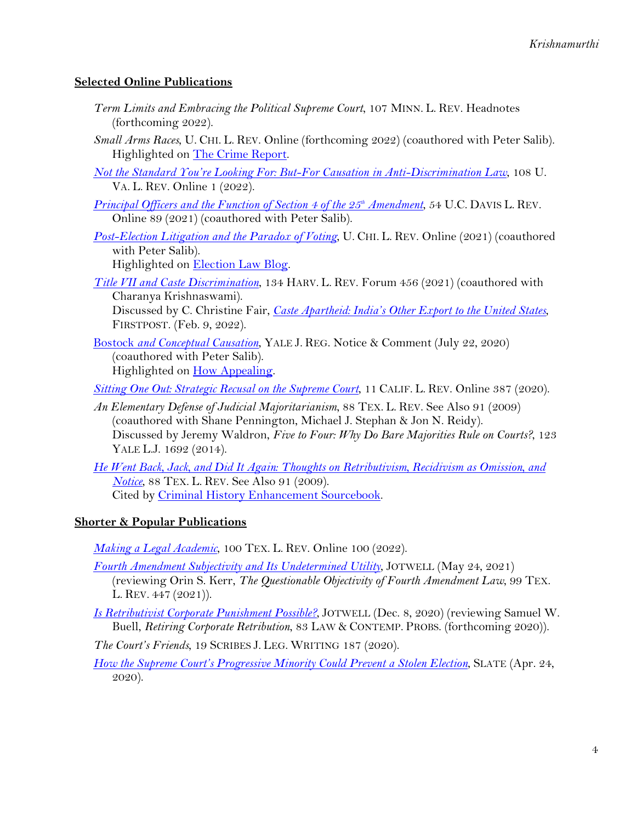## **Selected Online Publications**

- *Term Limits and Embracing the Political Supreme Court*, 107 MINN. L. REV. Headnotes (forthcoming 2022).
- *Small Arms Races*, U. CHI. L. REV. Online (forthcoming 2022) (coauthored with Peter Salib). Highlighted on [The Crime Report.](https://thecrimereport.org/2022/03/18/wholl-shoot-first-how-relaxed-gun-rules-fuel-a-small-arms-race/)
- *[Not the Standard You're Looking For: But-For Causation in Anti-Discrimination Law](https://www.virginialawreview.org/articles/not-the-standard-youre-looking-for-but-for-causation-in-anti-discrimination-law/)*, 108 U. VA. L. REV. Online 1 (2022).
- *[Principal Officers and the Function of Section 4 of the 25th](https://lawreview.law.ucdavis.edu/online/54/krishnamurthi_salib.html) Amendment*, 54 U.C. DAVIS L. REV. Online 89 (2021) (coauthored with Peter Salib).
- *[Post-Election Litigation and the Paradox of Voting](https://lawreviewblog.uchicago.edu/2021/03/10/salib-krishnamurthi-election/)*, U. CHI. L. REV. Online (2021) (coauthored with Peter Salib).

Highlighted on [Election Law Blog.](https://electionlawblog.org/?p=120640)

*[Title VII and Caste Discrimination](https://harvardlawreview.org/2021/06/title-vii-and-caste-discrimination/)*, 134 HARV. L. REV. Forum 456 (2021) (coauthored with Charanya Krishnaswami).

Discussed by C. Christine Fair, *[Caste Apartheid: India's Other Export to the United States](https://www.firstpost.com/india/caste-apartheid-indias-other-export-to-the-united-states-10362061.html)*, FIRSTPOST. (Feb. 9, 2022).

[Bostock](https://www.yalejreg.com/nc/bostock-and-conceptual-causation-by-guha-krishnamurthi-peter-salib/) *[and Conceptual Causation](https://www.yalejreg.com/nc/bostock-and-conceptual-causation-by-guha-krishnamurthi-peter-salib/)*, YALE J. REG. Notice & Comment (July 22, 2020) (coauthored with Peter Salib). Highlighted on [How Appealing.](https://howappealing.abovethelaw.com/2020/07/30/#126560)

*[Sitting One Out: Strategic Recusal on the Supreme Court](http://www.californialawreview.org/strategic-recusal-supreme-court/)*, 11 CALIF. L. REV. Online 387 (2020).

- *An Elementary Defense of Judicial Majoritarianism*, 88 TEX. L. REV. See Also 91 (2009) (coauthored with Shane Pennington, Michael J. Stephan & Jon N. Reidy). Discussed by Jeremy Waldron, *Five to Four: Why Do Bare Majorities Rule on Courts?*, 123 YALE L.J. 1692 (2014).
- *[He Went Back, Jack, and Did It Again: Thoughts on Retributivism, Recidivism as Omission, and](http://texaslawreview.org/wp-content/uploads/2015/08/Krishnamurthi.pdf)  [Notice](http://texaslawreview.org/wp-content/uploads/2015/08/Krishnamurthi.pdf)*, 88 TEX. L. REV. See Also 91 (2009). Cited by [Criminal History Enhancement Sourcebook.](https://robinainstitute.umn.edu/sites/robinainstitute.umn.edu/files/criminal_history_enhancement_web2_0.pdf)

## **Shorter & Popular Publications**

*[Making a Legal Academic](https://texaslawreview.org/making-a-legal-academic/)*, 100 TEX. L. REV. Online 100 (2022).

*[Fourth Amendment Subjectivity and Its Undetermined Utility](https://crim.jotwell.com/fourth-amendment-subjectivity-and-its-undetermined-utility/)*, JOTWELL (May 24, 2021)

(reviewing Orin S. Kerr, *The Questionable Objectivity of Fourth Amendment Law*, 99 TEX. L. REV. 447 (2021)).

- *[Is Retributivist Corporate Punishment Possible?](https://crim.jotwell.com/is-retributive-corporate-punishment-possible/)*, JOTWELL (Dec. 8, 2020) (reviewing Samuel W. Buell, *Retiring Corporate Retribution*, 83 LAW & CONTEMP. PROBS. (forthcoming 2020)).
- *The Court's Friends*, 19 SCRIBES J. LEG. WRITING 187 (2020).
- *[How the Supreme Court's Progressive Minority Could Prevent a Stolen Election](https://slate.com/news-and-politics/2020/04/supreme-court-progressive-rbg-2020-election-theft.html)*, SLATE (Apr. 24, 2020).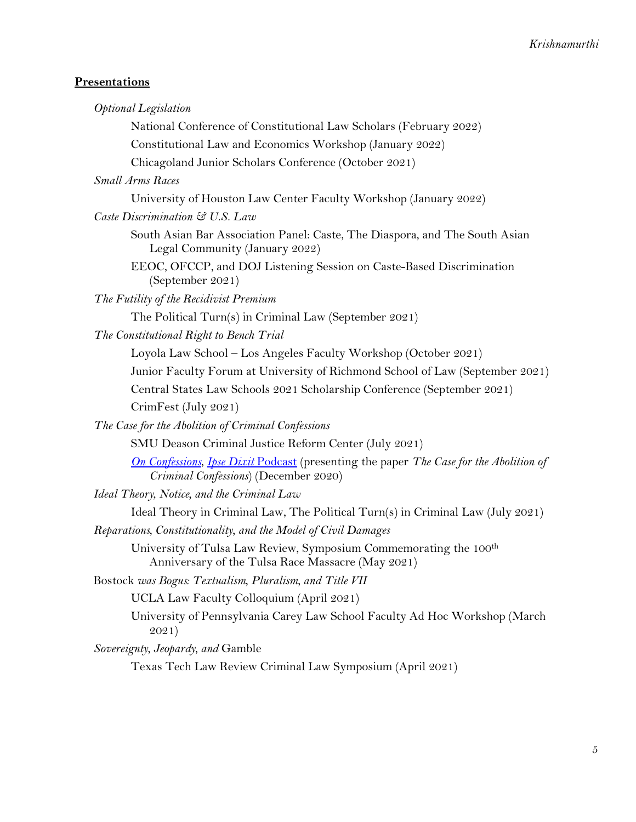## **Presentations**

| <b>Optional Legislation</b>                                                                                                            |
|----------------------------------------------------------------------------------------------------------------------------------------|
| National Conference of Constitutional Law Scholars (February 2022)                                                                     |
| Constitutional Law and Economics Workshop (January 2022)                                                                               |
| Chicagoland Junior Scholars Conference (October 2021)                                                                                  |
| <b>Small Arms Races</b>                                                                                                                |
| University of Houston Law Center Faculty Workshop (January 2022)                                                                       |
| Caste Discrimination & U.S. Law                                                                                                        |
| South Asian Bar Association Panel: Caste, The Diaspora, and The South Asian<br>Legal Community (January 2022)                          |
| EEOC, OFCCP, and DOJ Listening Session on Caste-Based Discrimination<br>(September 2021)                                               |
| The Futility of the Recidivist Premium                                                                                                 |
| The Political Turn(s) in Criminal Law (September 2021)                                                                                 |
| The Constitutional Right to Bench Trial                                                                                                |
| Loyola Law School - Los Angeles Faculty Workshop (October 2021)                                                                        |
| Junior Faculty Forum at University of Richmond School of Law (September 2021)                                                          |
| Central States Law Schools 2021 Scholarship Conference (September 2021)                                                                |
| CrimFest (July 2021)                                                                                                                   |
| The Case for the Abolition of Criminal Confessions                                                                                     |
| SMU Deason Criminal Justice Reform Center (July 2021)                                                                                  |
| <b>On Confessions, Ipse Dixit Podcast</b> (presenting the paper The Case for the Abolition of<br>Criminal Confessions) (December 2020) |
| Ideal Theory, Notice, and the Criminal Law                                                                                             |
| Ideal Theory in Criminal Law, The Political Turn(s) in Criminal Law (July 2021)                                                        |
| Reparations, Constitutionality, and the Model of Civil Damages                                                                         |
| University of Tulsa Law Review, Symposium Commemorating the 100 <sup>th</sup><br>Anniversary of the Tulsa Race Massacre (May 2021)     |
| Bostock was Bogus: Textualism, Pluralism, and Title VII                                                                                |
| UCLA Law Faculty Colloquium (April 2021)                                                                                               |
| University of Pennsylvania Carey Law School Faculty Ad Hoc Workshop (March<br>2021)                                                    |
| Sovereignty, Jeopardy, and Gamble                                                                                                      |
| Texas Tech Law Review Criminal Law Symposium (April 2021)                                                                              |
|                                                                                                                                        |
|                                                                                                                                        |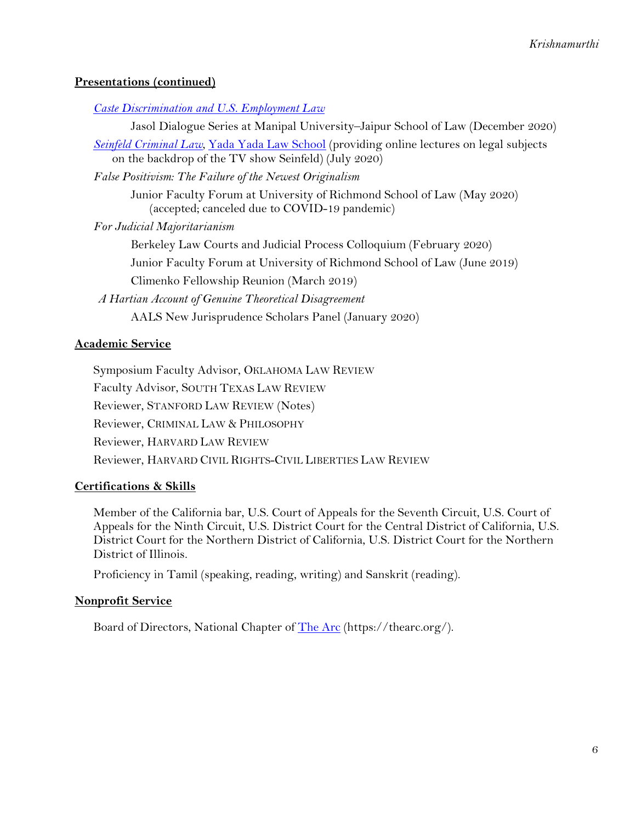## **Presentations (continued)**

*[Caste Discrimination and U.S. Employment Law](https://www.youtube.com/watch?v=4J87dF3akk0)*

Jasol Dialogue Series at Manipal University–Jaipur School of Law (December 2020)

*[Seinfeld Criminal Law](https://www.youtube.com/watch?v=dE7umgXKj9M)*, [Yada Yada Law School](https://gregshill.wordpress.com/yada-yada-law-school/) (providing online lectures on legal subjects on the backdrop of the TV show Seinfeld) (July 2020)

*False Positivism: The Failure of the Newest Originalism*

Junior Faculty Forum at University of Richmond School of Law (May 2020) (accepted; canceled due to COVID-19 pandemic)

*For Judicial Majoritarianism*

Berkeley Law Courts and Judicial Process Colloquium (February 2020)

Junior Faculty Forum at University of Richmond School of Law (June 2019)

Climenko Fellowship Reunion (March 2019)

*A Hartian Account of Genuine Theoretical Disagreement* AALS New Jurisprudence Scholars Panel (January 2020)

## **Academic Service**

Symposium Faculty Advisor, OKLAHOMA LAW REVIEW Faculty Advisor, SOUTH TEXAS LAW REVIEW Reviewer, STANFORD LAW REVIEW (Notes) Reviewer, CRIMINAL LAW & PHILOSOPHY Reviewer, HARVARD LAW REVIEW Reviewer, HARVARD CIVIL RIGHTS-CIVIL LIBERTIES LAW REVIEW

## **Certifications & Skills**

Member of the California bar, U.S. Court of Appeals for the Seventh Circuit, U.S. Court of Appeals for the Ninth Circuit, U.S. District Court for the Central District of California, U.S. District Court for the Northern District of California, U.S. District Court for the Northern District of Illinois.

Proficiency in Tamil (speaking, reading, writing) and Sanskrit (reading).

### **Nonprofit Service**

Board of Directors, National Chapter of [The Arc](https://thearc.org/) (https://thearc.org/).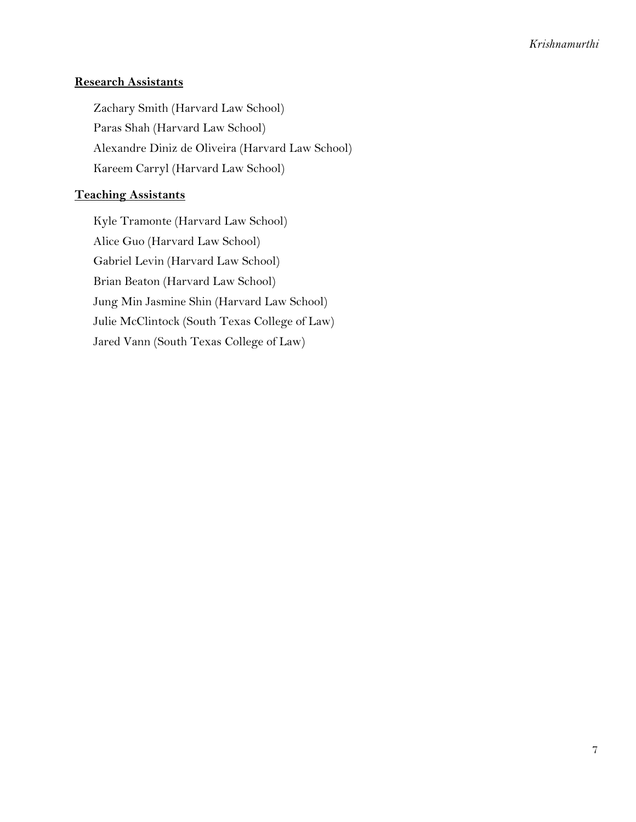## **Research Assistants**

Zachary Smith (Harvard Law School) Paras Shah (Harvard Law School) Alexandre Diniz de Oliveira (Harvard Law School) Kareem Carryl (Harvard Law School)

## **Teaching Assistants**

Kyle Tramonte (Harvard Law School) Alice Guo (Harvard Law School) Gabriel Levin (Harvard Law School) Brian Beaton (Harvard Law School) Jung Min Jasmine Shin (Harvard Law School) Julie McClintock (South Texas College of Law) Jared Vann (South Texas College of Law)